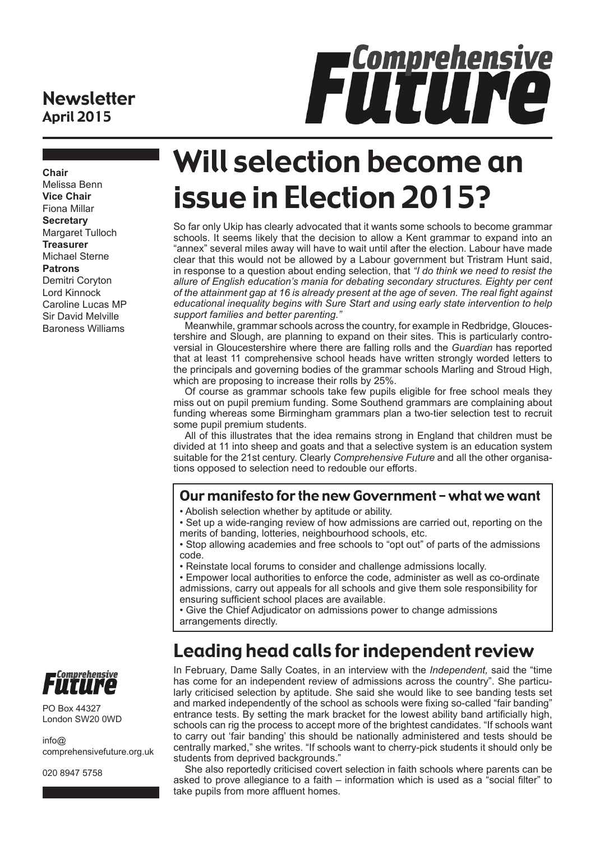## **Newsletter** April 2015

# FÜTUNG

**Chair** Melissa Benn **Vice Chair** Fiona Millar **Secretary** Margaret Tulloch **Treasurer** Michael Sterne **Patrons** Demitri Coryton Lord Kinnock Caroline Lucas MP Sir David Melville Baroness Williams

# Will selection become an issue in Election 2015?

So far only Ukip has clearly advocated that it wants some schools to become grammar schools. It seems likely that the decision to allow a Kent grammar to expand into an "annex" several miles away will have to wait until after the election. Labour have made clear that this would not be allowed by a Labour government but Tristram Hunt said, in response to a question about ending selection, that *"I do think we need to resist the allure of English education's mania for debating secondary structures. Eighty per cent of the attainment gap at 16 is already present at the age of seven. The real fight against educational inequality begins with Sure Start and using early state intervention to help support families and better parenting."*

Meanwhile, grammar schools across the country, for example in Redbridge, Gloucestershire and Slough, are planning to expand on their sites. This is particularly controversial in Gloucestershire where there are falling rolls and the *Guardian* has reported that at least 11 comprehensive school heads have written strongly worded letters to the principals and governing bodies of the grammar schools Marling and Stroud High, which are proposing to increase their rolls by 25%.

Of course as grammar schools take few pupils eligible for free school meals they miss out on pupil premium funding. Some Southend grammars are complaining about funding whereas some Birmingham grammars plan a two-tier selection test to recruit some pupil premium students.

All of this illustrates that the idea remains strong in England that children must be divided at 11 into sheep and goats and that a selective system is an education system suitable for the 21st century. Clearly *Comprehensive Future* and all the other organisations opposed to selection need to redouble our efforts.

### Our manifesto for the new Government – what we want

- Abolish selection whether by aptitude or ability.
- Set up a wide-ranging review of how admissions are carried out, reporting on the merits of banding, lotteries, neighbourhood schools, etc.
- Stop allowing academies and free schools to "opt out" of parts of the admissions code.
- Reinstate local forums to consider and challenge admissions locally.

• Empower local authorities to enforce the code, administer as well as co-ordinate admissions, carry out appeals for all schools and give them sole responsibility for ensuring sufficient school places are available.

• Give the Chief Adjudicator on admissions power to change admissions arrangements directly.

## Leading head calls for independent review

In February, Dame Sally Coates, in an interview with the *Independent,* said the "time has come for an independent review of admissions across the country". She particularly criticised selection by aptitude. She said she would like to see banding tests set and marked independently of the school as schools were fixing so-called "fair banding" entrance tests. By setting the mark bracket for the lowest ability band artificially high, schools can rig the process to accept more of the brightest candidates. "If schools want to carry out 'fair banding' this should be nationally administered and tests should be centrally marked," she writes. "If schools want to cherry-pick students it should only be students from deprived backgrounds."

She also reportedly criticised covert selection in faith schools where parents can be asked to prove allegiance to a faith – information which is used as a "social filter" to take pupils from more affluent homes.



PO Box 44327 London SW20 0WD

 $info@$ comprehensivefuture.org.uk

020 8947 5758